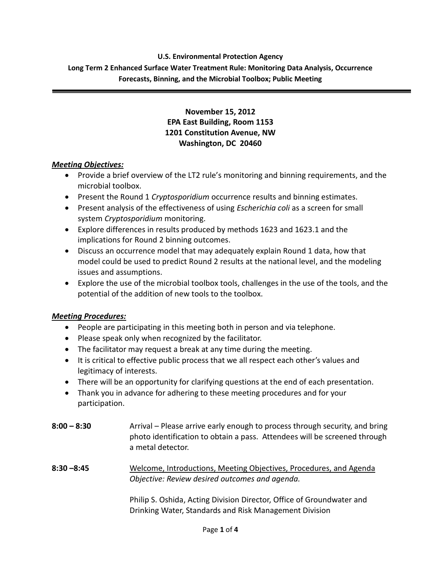**U.S. Environmental Protection Agency Long Term 2 Enhanced Surface Water Treatment Rule: Monitoring Data Analysis, Occurrence Forecasts, Binning, and the Microbial Toolbox; Public Meeting**

# **November 15, 2012 EPA East Building, Room 1153 1201 Constitution Avenue, NW Washington, DC 20460**

# *Meeting Objectives:*

- Provide a brief overview of the LT2 rule's monitoring and binning requirements, and the microbial toolbox.
- Present the Round 1 *Cryptosporidium* occurrence results and binning estimates.
- Present analysis of the effectiveness of using *Escherichia coli* as a screen for small system *Cryptosporidium* monitoring.
- Explore differences in results produced by methods 1623 and 1623.1 and the implications for Round 2 binning outcomes.
- Discuss an occurrence model that may adequately explain Round 1 data, how that model could be used to predict Round 2 results at the national level, and the modeling issues and assumptions.
- Explore the use of the microbial toolbox tools, challenges in the use of the tools, and the potential of the addition of new tools to the toolbox.

# *Meeting Procedures:*

- People are participating in this meeting both in person and via telephone.
- Please speak only when recognized by the facilitator.
- The facilitator may request a break at any time during the meeting.
- It is critical to effective public process that we all respect each other's values and legitimacy of interests.
- There will be an opportunity for clarifying questions at the end of each presentation.
- Thank you in advance for adhering to these meeting procedures and for your participation.
- **8:00 – 8:30** Arrival Please arrive early enough to process through security, and bring photo identification to obtain a pass. Attendees will be screened through a metal detector.
- **8:30 –8:45** Welcome, Introductions, Meeting Objectives, Procedures, and Agenda *Objective: Review desired outcomes and agenda.*

Philip S. Oshida, Acting Division Director, Office of Groundwater and Drinking Water, Standards and Risk Management Division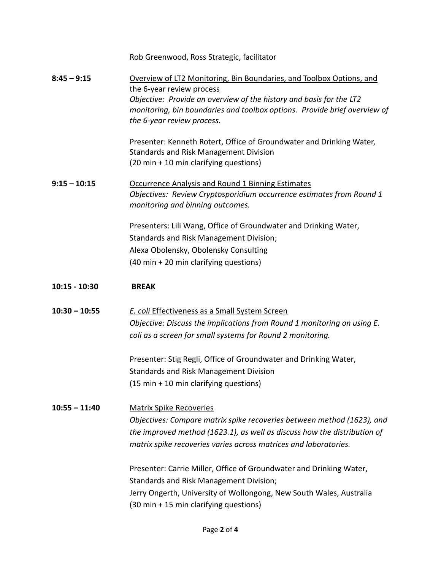Rob Greenwood, Ross Strategic, facilitator

**8:45 – 9:15** Overview of LT2 Monitoring, Bin Boundaries, and Toolbox Options, and the 6-year review process *Objective: Provide an overview of the history and basis for the LT2 monitoring, bin boundaries and toolbox options. Provide brief overview of the 6-year review process.*

> Presenter: Kenneth Rotert, Office of Groundwater and Drinking Water, Standards and Risk Management Division (20 min + 10 min clarifying questions)

**9:15 – 10:15** Occurrence Analysis and Round 1 Binning Estimates *Objectives: Review Cryptosporidium occurrence estimates from Round 1 monitoring and binning outcomes.*

> Presenters: Lili Wang, Office of Groundwater and Drinking Water, Standards and Risk Management Division; Alexa Obolensky, Obolensky Consulting (40 min + 20 min clarifying questions)

# **10:15 - 10:30 BREAK**

**10:30 – 10:55** *E. coli* Effectiveness as a Small System Screen *Objective: Discuss the implications from Round 1 monitoring on using E. coli as a screen for small systems for Round 2 monitoring.*

> Presenter: Stig Regli, Office of Groundwater and Drinking Water, Standards and Risk Management Division (15 min + 10 min clarifying questions)

**10:55 – 11:40** Matrix Spike Recoveries *Objectives: Compare matrix spike recoveries between method (1623), and the improved method (1623.1), as well as discuss how the distribution of matrix spike recoveries varies across matrices and laboratories.* 

> Presenter: Carrie Miller, Office of Groundwater and Drinking Water, Standards and Risk Management Division; Jerry Ongerth, University of Wollongong, New South Wales, Australia (30 min + 15 min clarifying questions)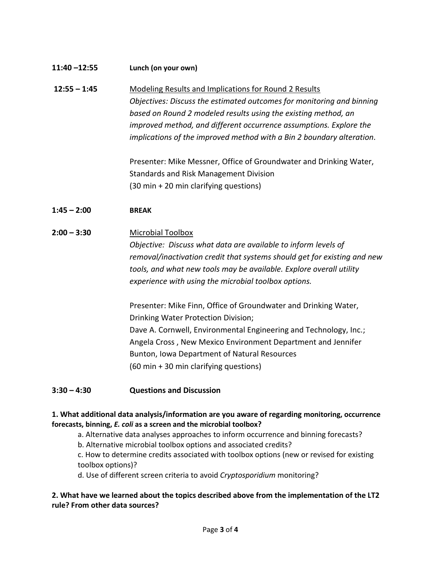| $11:40 - 12:55$ | Lunch (on your own)                                                   |
|-----------------|-----------------------------------------------------------------------|
| $12:55 - 1:45$  | Modeling Results and Implications for Round 2 Results                 |
|                 | Objectives: Discuss the estimated outcomes for monitoring and binning |
|                 | based on Round 2 modeled results using the existing method, an        |
|                 | improved method, and different occurrence assumptions. Explore the    |
|                 | implications of the improved method with a Bin 2 boundary alteration. |
|                 | Presenter: Mike Messner, Office of Groundwater and Drinking Water,    |
|                 | Standards and Risk Management Division                                |
|                 | (30 min + 20 min clarifying questions)                                |

# **1:45 – 2:00 BREAK**

### **2:00 – 3:30** Microbial Toolbox

*Objective: Discuss what data are available to inform levels of removal/inactivation credit that systems should get for existing and new tools, and what new tools may be available. Explore overall utility experience with using the microbial toolbox options.*

Presenter: Mike Finn, Office of Groundwater and Drinking Water, Drinking Water Protection Division; Dave A. Cornwell, Environmental Engineering and Technology, Inc.; Angela Cross , New Mexico Environment Department and Jennifer Bunton, Iowa Department of Natural Resources (60 min + 30 min clarifying questions)

#### **3:30 – 4:30 Questions and Discussion**

#### **1. What additional data analysis/information are you aware of regarding monitoring, occurrence forecasts, binning,** *E. coli* **as a screen and the microbial toolbox?**

a. Alternative data analyses approaches to inform occurrence and binning forecasts?

b. Alternative microbial toolbox options and associated credits?

c. How to determine credits associated with toolbox options (new or revised for existing toolbox options)?

d. Use of different screen criteria to avoid *Cryptosporidium* monitoring?

# **2. What have we learned about the topics described above from the implementation of the LT2 rule? From other data sources?**